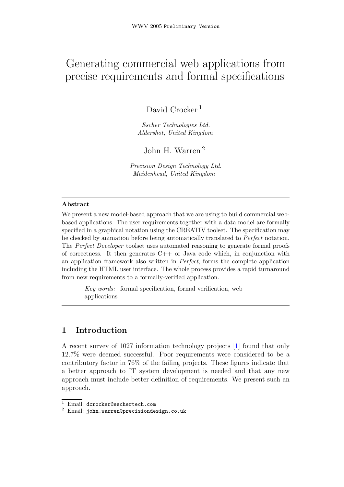# Generating commercial web applications from precise requirements and formal specifications

David Crocker<sup>1</sup>

Escher Technologies Ltd. Aldershot, United Kingdom

John H. Warren <sup>2</sup>

Precision Design Technology Ltd. Maidenhead, United Kingdom

#### Abstract

We present a new model-based approach that we are using to build commercial webbased applications. The user requirements together with a data model are formally specified in a graphical notation using the CREATIV toolset. The specification may be checked by animation before being automatically translated to Perfect notation. The Perfect Developer toolset uses automated reasoning to generate formal proofs of correctness. It then generates  $C++$  or Java code which, in conjunction with an application framework also written in Perfect, forms the complete application including the HTML user interface. The whole process provides a rapid turnaround from new requirements to a formally-verified application.

Key words: formal specification, formal verification, web applications

### 1 Introduction

A recent survey of 1027 information technology projects [\[1\]](#page-5-0) found that only 12.7% were deemed successful. Poor requirements were considered to be a contributory factor in 76% of the failing projects. These figures indicate that a better approach to IT system development is needed and that any new approach must include better definition of requirements. We present such an approach.

<sup>&</sup>lt;sup>1</sup> Email: dcrocker@eschertech.com

<sup>2</sup> Email: john.warren@precisiondesign.co.uk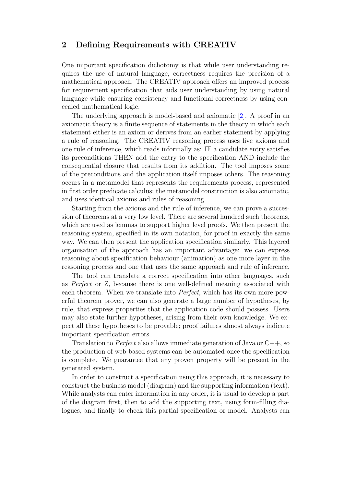### 2 Defining Requirements with CREATIV

One important specification dichotomy is that while user understanding requires the use of natural language, correctness requires the precision of a mathematical approach. The CREATIV approach offers an improved process for requirement specification that aids user understanding by using natural language while ensuring consistency and functional correctness by using concealed mathematical logic.

The underlying approach is model-based and axiomatic [\[2\]](#page-5-1). A proof in an axiomatic theory is a finite sequence of statements in the theory in which each statement either is an axiom or derives from an earlier statement by applying a rule of reasoning. The CREATIV reasoning process uses five axioms and one rule of inference, which reads informally as: IF a candidate entry satisfies its preconditions THEN add the entry to the specification AND include the consequential closure that results from its addition. The tool imposes some of the preconditions and the application itself imposes others. The reasoning occurs in a metamodel that represents the requirements process, represented in first order predicate calculus; the metamodel construction is also axiomatic, and uses identical axioms and rules of reasoning.

Starting from the axioms and the rule of inference, we can prove a succession of theorems at a very low level. There are several hundred such theorems, which are used as lemmas to support higher level proofs. We then present the reasoning system, specified in its own notation, for proof in exactly the same way. We can then present the application specification similarly. This layered organisation of the approach has an important advantage: we can express reasoning about specification behaviour (animation) as one more layer in the reasoning process and one that uses the same approach and rule of inference.

The tool can translate a correct specification into other languages, such as Perfect or Z, because there is one well-defined meaning associated with each theorem. When we translate into Perfect, which has its own more powerful theorem prover, we can also generate a large number of hypotheses, by rule, that express properties that the application code should possess. Users may also state further hypotheses, arising from their own knowledge. We expect all these hypotheses to be provable; proof failures almost always indicate important specification errors.

Translation to *Perfect* also allows immediate generation of Java or  $C_{++}$ , so the production of web-based systems can be automated once the specification is complete. We guarantee that any proven property will be present in the generated system.

In order to construct a specification using this approach, it is necessary to construct the business model (diagram) and the supporting information (text). While analysts can enter information in any order, it is usual to develop a part of the diagram first, then to add the supporting text, using form-filling dialogues, and finally to check this partial specification or model. Analysts can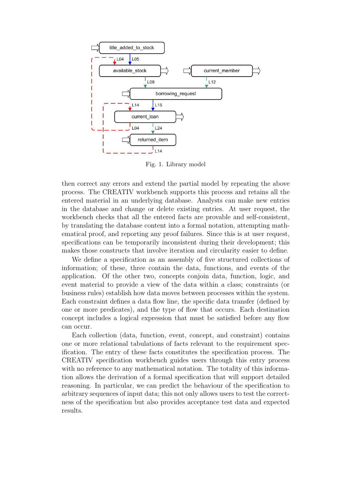

<span id="page-2-0"></span>Fig. 1. Library model

then correct any errors and extend the partial model by repeating the above process. The CREATIV workbench supports this process and retains all the entered material in an underlying database. Analysts can make new entries in the database and change or delete existing entries. At user request, the workbench checks that all the entered facts are provable and self-consistent, by translating the database content into a formal notation, attempting mathematical proof, and reporting any proof failures. Since this is at user request, specifications can be temporarily inconsistent during their development; this makes those constructs that involve iteration and circularity easier to define.

We define a specification as an assembly of five structured collections of information; of these, three contain the data, functions, and events of the application. Of the other two, concepts conjoin data, function, logic, and event material to provide a view of the data within a class; constraints (or business rules) establish how data moves between processes within the system. Each constraint defines a data flow line, the specific data transfer (defined by one or more predicates), and the type of flow that occurs. Each destination concept includes a logical expression that must be satisfied before any flow can occur.

Each collection (data, function, event, concept, and constraint) contains one or more relational tabulations of facts relevant to the requirement specification. The entry of these facts constitutes the specification process. The CREATIV specification workbench guides users through this entry process with no reference to any mathematical notation. The totality of this information allows the derivation of a formal specification that will support detailed reasoning. In particular, we can predict the behaviour of the specification to arbitrary sequences of input data; this not only allows users to test the correctness of the specification but also provides acceptance test data and expected results.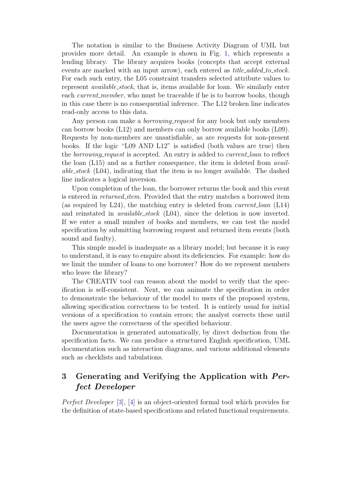The notation is similar to the Business Activity Diagram of UML but provides more detail. An example is shown in Fig. [1,](#page-2-0) which represents a lending library. The library acquires books (concepts that accept external events are marked with an input arrow), each entered as *title\_added\_to\_stock*. For each such entry, the L05 constraint transfers selected attribute values to represent available stock, that is, items available for loan. We similarly enter each *current member*, who must be traceable if he is to borrow books, though in this case there is no consequential inference. The L12 broken line indicates read-only access to this data.

Any person can make a *borrowing-request* for any book but only members can borrow books (L12) and members can only borrow available books (L09). Requests by non-members are unsatisfiable, as are requests for non-present books. If the logic "L09 AND L12" is satisfied (both values are true) then the *borrowing request* is accepted. An entry is added to *current loan* to reflect the loan (L15) and as a further consequence, the item is deleted from avail*able\_stock* (L04), indicating that the item is no longer available. The dashed line indicates a logical inversion.

Upon completion of the loan, the borrower returns the book and this event is entered in *returned item*. Provided that the entry matches a borrowed item (as required by L24), the matching entry is deleted from current loan (L14) and reinstated in *available\_stock* (L04), since the deletion is now inverted. If we enter a small number of books and members, we can test the model specification by submitting borrowing request and returned item events (both sound and faulty).

This simple model is inadequate as a library model; but because it is easy to understand, it is easy to enquire about its deficiencies. For example: how do we limit the number of loans to one borrower? How do we represent members who leave the library?

The CREATIV tool can reason about the model to verify that the specification is self-consistent. Next, we can animate the specification in order to demonstrate the behaviour of the model to users of the proposed system, allowing specification correctness to be tested. It is entirely usual for initial versions of a specification to contain errors; the analyst corrects these until the users agree the correctness of the specified behaviour.

Documentation is generated automatically, by direct deduction from the specification facts. We can produce a structured English specification, UML documentation such as interaction diagrams, and various additional elements such as checklists and tabulations.

## 3 Generating and Verifying the Application with Perfect Developer

Perfect Developer [\[3\]](#page-5-2), [\[4\]](#page-5-3) is an object-oriented formal tool which provides for the definition of state-based specifications and related functional requirements.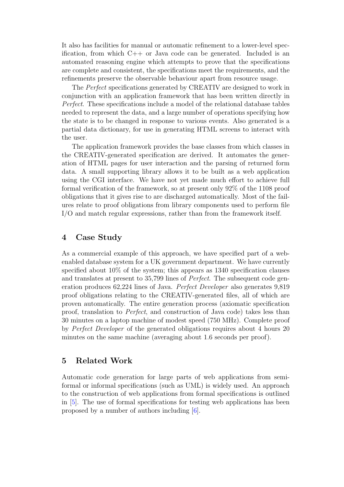It also has facilities for manual or automatic refinement to a lower-level specification, from which C++ or Java code can be generated. Included is an automated reasoning engine which attempts to prove that the specifications are complete and consistent, the specifications meet the requirements, and the refinements preserve the observable behaviour apart from resource usage.

The Perfect specifications generated by CREATIV are designed to work in conjunction with an application framework that has been written directly in Perfect. These specifications include a model of the relational database tables needed to represent the data, and a large number of operations specifying how the state is to be changed in response to various events. Also generated is a partial data dictionary, for use in generating HTML screens to interact with the user.

The application framework provides the base classes from which classes in the CREATIV-generated specification are derived. It automates the generation of HTML pages for user interaction and the parsing of returned form data. A small supporting library allows it to be built as a web application using the CGI interface. We have not yet made much effort to achieve full formal verification of the framework, so at present only 92% of the 1108 proof obligations that it gives rise to are discharged automatically. Most of the failures relate to proof obligations from library components used to perform file I/O and match regular expressions, rather than from the framework itself.

### 4 Case Study

As a commercial example of this approach, we have specified part of a webenabled database system for a UK government department. We have currently specified about 10% of the system; this appears as 1340 specification clauses and translates at present to 35,799 lines of Perfect. The subsequent code generation produces 62,224 lines of Java. Perfect Developer also generates 9,819 proof obligations relating to the CREATIV-generated files, all of which are proven automatically. The entire generation process (axiomatic specification proof, translation to Perfect, and construction of Java code) takes less than 30 minutes on a laptop machine of modest speed (750 MHz). Complete proof by Perfect Developer of the generated obligations requires about 4 hours 20 minutes on the same machine (averaging about 1.6 seconds per proof).

### 5 Related Work

Automatic code generation for large parts of web applications from semiformal or informal specifications (such as UML) is widely used. An approach to the construction of web applications from formal specifications is outlined in [\[5\]](#page-5-4). The use of formal specifications for testing web applications has been proposed by a number of authors including [\[6\]](#page-5-5).